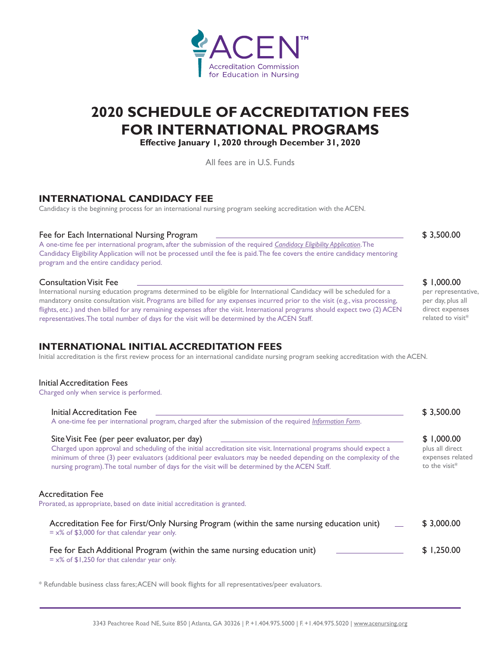# **Accreditation Commission** for Education in Nursing

# **2020 SCHEDULE OF ACCREDITATION FEES FOR INTERNATIONAL PROGRAMS**

**Effective January 1, 2020 through December 31, 2020**

All fees are in U.S. Funds

# **INTERNATIONAL CANDIDACY FEE**

Candidacy is the beginning process for an international nursing program seeking accreditation with the ACEN.

#### Fee for Each International Nursing Program \$ 3,500.00

A one-time fee per international program, after the submission of the required *[Candidacy Eligibility Application](https://www.acenursing.org/candidacy/)*. The Candidacy Eligibility Application will not be processed until the fee is paid. The fee covers the entire candidacy mentoring program and the entire candidacy period.

#### Consultation Visit Fee

International nursing education programs determined to be eligible for International Candidacy will be scheduled for a mandatory onsite consultation visit. Programs are billed for any expenses incurred prior to the visit (e.g., visa processing, flights, etc.) and then billed for any remaining expenses after the visit. International programs should expect two (2) ACEN representatives. The total number of days for the visit will be determined by the ACEN Staff.

# **INTERNATIONAL INITIAL ACCREDITATION FEES**

Initial accreditation is the first review process for an international candidate nursing program seeking accreditation with the ACEN.

#### Initial Accreditation Fees

Charged only when service is performed.

| Initial Accreditation Fee<br>A one-time fee per international program, charged after the submission of the required Information Form.                                                                                                                                                                                                                                                       | \$3,500.00                                                         |
|---------------------------------------------------------------------------------------------------------------------------------------------------------------------------------------------------------------------------------------------------------------------------------------------------------------------------------------------------------------------------------------------|--------------------------------------------------------------------|
| Site Visit Fee (per peer evaluator, per day)<br>Charged upon approval and scheduling of the initial accreditation site visit. International programs should expect a<br>minimum of three (3) peer evaluators (additional peer evaluators may be needed depending on the complexity of the<br>nursing program). The total number of days for the visit will be determined by the ACEN Staff. | \$1,000.00<br>plus all direct<br>expenses related<br>to the visit* |
| Accreditation Fee<br>Prorated, as appropriate, based on date initial accreditation is granted.                                                                                                                                                                                                                                                                                              |                                                                    |
| Accreditation Fee for First/Only Nursing Program (within the same nursing education unit)<br>$= x\%$ of \$3,000 for that calendar year only.                                                                                                                                                                                                                                                | \$3,000.00                                                         |
| Fee for Each Additional Program (within the same nursing education unit)<br>$= x\%$ of \$1,250 for that calendar year only.                                                                                                                                                                                                                                                                 | \$1.250.00                                                         |

\* Refundable business class fares; ACEN will book flights for all representatives/peer evaluators.

#### \$ 1,000.00

per representative, per day, plus all direct expenses related to visit\*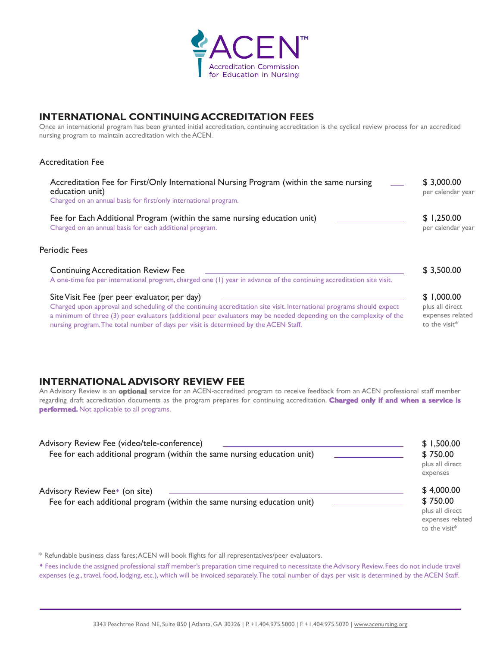

## **INTERNATIONAL CONTINUING ACCREDITATION FEES**

Once an international program has been granted initial accreditation, continuing accreditation is the cyclical review process for an accredited nursing program to maintain accreditation with the ACEN.

#### Accreditation Fee

| Accreditation Fee for First/Only International Nursing Program (within the same nursing<br>education unit)<br>Charged on an annual basis for first/only international program.                                                                                                                                                                                                       | \$3,000.00<br>per calendar year                                    |
|--------------------------------------------------------------------------------------------------------------------------------------------------------------------------------------------------------------------------------------------------------------------------------------------------------------------------------------------------------------------------------------|--------------------------------------------------------------------|
| Fee for Each Additional Program (within the same nursing education unit)<br>Charged on an annual basis for each additional program.                                                                                                                                                                                                                                                  | \$1,250.00<br>per calendar year                                    |
| Periodic Fees                                                                                                                                                                                                                                                                                                                                                                        |                                                                    |
| <b>Continuing Accreditation Review Fee</b><br>A one-time fee per international program, charged one (1) year in advance of the continuing accreditation site visit.                                                                                                                                                                                                                  | \$3,500.00                                                         |
| Site Visit Fee (per peer evaluator, per day)<br>Charged upon approval and scheduling of the continuing accreditation site visit. International programs should expect<br>a minimum of three (3) peer evaluators (additional peer evaluators may be needed depending on the complexity of the<br>nursing program. The total number of days per visit is determined by the ACEN Staff. | \$1,000.00<br>plus all direct<br>expenses related<br>to the visit* |

# **INTERNATIONAL ADVISORY REVIEW FEE**

An Advisory Review is an **optional** service for an ACEN-accredited program to receive feedback from an ACEN professional staff member regarding draft accreditation documents as the program prepares for continuing accreditation. **Charged only if and when a service is performed.** Not applicable to all programs.

| Advisory Review Fee (video/tele-conference)<br>Fee for each additional program (within the same nursing education unit) | \$1,500.00<br>\$750.00<br>plus all direct<br>expenses                             |
|-------------------------------------------------------------------------------------------------------------------------|-----------------------------------------------------------------------------------|
| Advisory Review Fee <sup>*</sup> (on site)<br>Fee for each additional program (within the same nursing education unit)  | \$4,000.00<br>\$750.00<br>plus all direct<br>expenses related<br>to the visit $*$ |

\* Refundable business class fares; ACEN will book flights for all representatives/peer evaluators.

\* Fees include the assigned professional staff member's preparation time required to necessitate the Advisory Review. Fees do not include travel expenses (e.g., travel, food, lodging, etc.), which will be invoiced separately. The total number of days per visit is determined by the ACEN Staff.